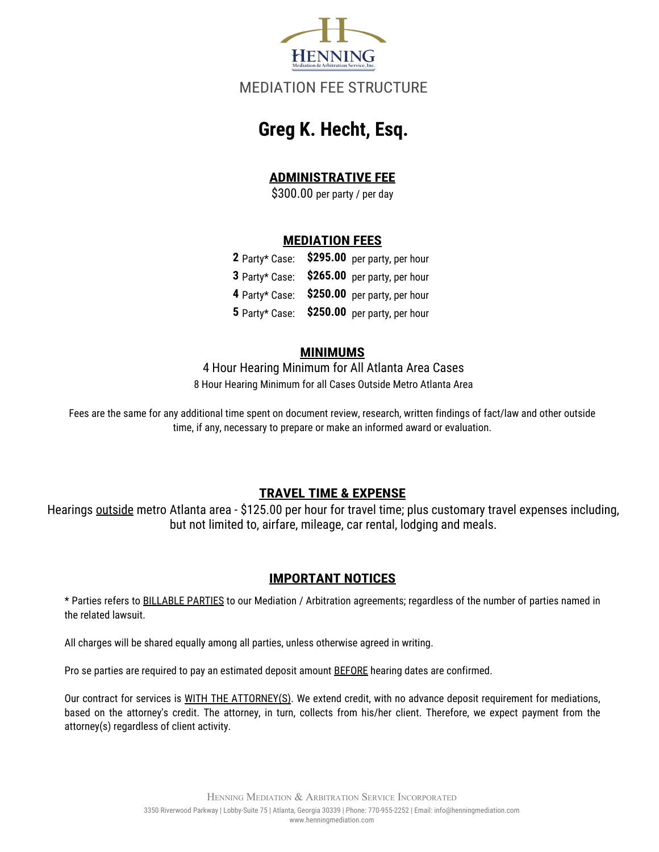

## MEDIATION FEE STRUCTURE

# **Greg K. Hecht, Esq.**

## **ADMINISTRATIVE FEE**

\$300.00 per party / per day

#### **MEDIATION FEES**

|  | 2 Party* Case: \$295.00 per party, per hour |
|--|---------------------------------------------|
|  | 3 Party* Case: \$265.00 per party, per hour |
|  | 4 Party* Case: \$250.00 per party, per hour |
|  | 5 Party* Case: \$250.00 per party, per hour |

#### **MINIMUMS**

8 Hour Hearing Minimum for all Cases Outside Metro Atlanta Area 4 Hour Hearing Minimum for All Atlanta Area Cases

Fees are the same for any additional time spent on document review, research, written findings of fact/law and other outside time, if any, necessary to prepare or make an informed award or evaluation.

### **TRAVEL TIME & EXPENSE**

Hearings outside metro Atlanta area - \$125.00 per hour for travel time; plus customary travel expenses including, but not limited to, airfare, mileage, car rental, lodging and meals.

#### **IMPORTANT NOTICES**

\* Parties refers to BILLABLE PARTIES to our Mediation / Arbitration agreements; regardless of the number of parties named in the related lawsuit.

All charges will be shared equally among all parties, unless otherwise agreed in writing.

Pro se parties are required to pay an estimated deposit amount BEFORE hearing dates are confirmed.

Our contract for services is WITH THE ATTORNEY(S). We extend credit, with no advance deposit requirement for mediations, based on the attorney's credit. The attorney, in turn, collects from his/her client. Therefore, we expect payment from the attorney(s) regardless of client activity.